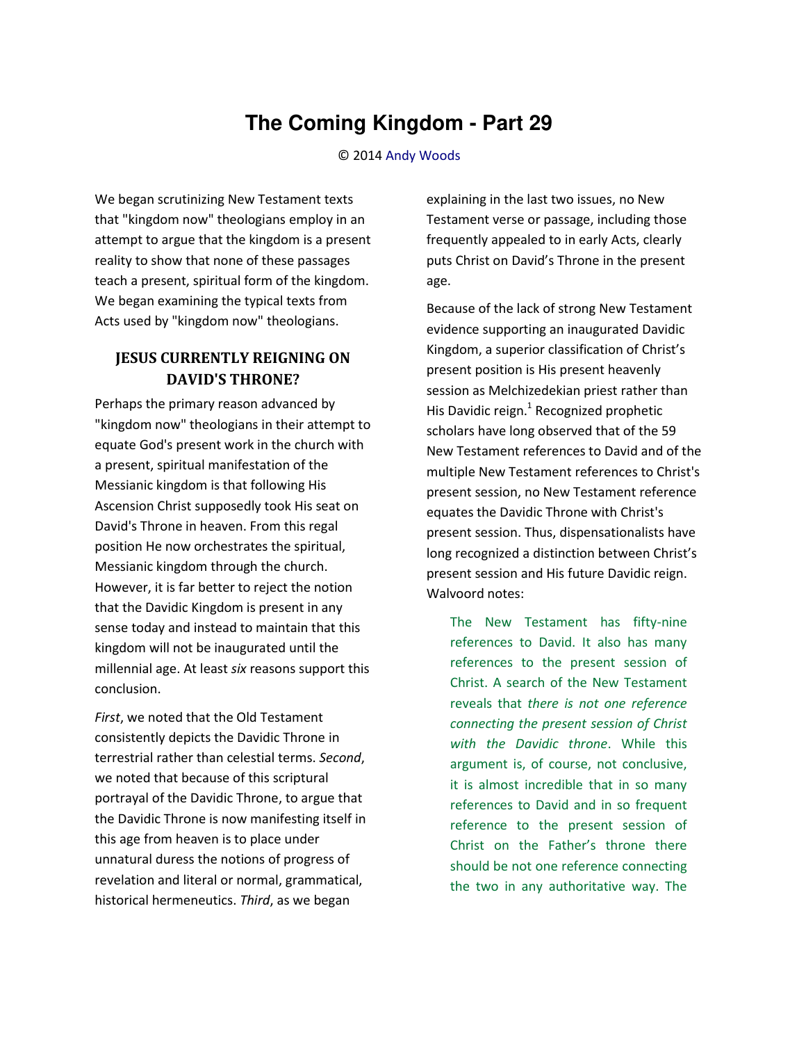## **The Coming Kingdom - Part 29**

## © 2014 [Andy Woods](http://www.spiritandtruth.org/id/aw.htm)

We began scrutinizing New Testament texts that "kingdom now" theologians employ in an attempt to argue that the kingdom is a present reality to show that none of these passages teach a present, spiritual form of the kingdom. We began examining the typical texts from Acts used by "kingdom now" theologians.

## **JESUS CURRENTLY REIGNING ON DAVID'S THRONE?**

Perhaps the primary reason advanced by "kingdom now" theologians in their attempt to equate God's present work in the church with a present, spiritual manifestation of the Messianic kingdom is that following His Ascension Christ supposedly took His seat on David's Throne in heaven. From this regal position He now orchestrates the spiritual, Messianic kingdom through the church. However, it is far better to reject the notion that the Davidic Kingdom is present in any sense today and instead to maintain that this kingdom will not be inaugurated until the millennial age. At least *six* reasons support this conclusion.

*First*, we noted that the Old Testament consistently depicts the Davidic Throne in terrestrial rather than celestial terms. *Second*, we noted that because of this scriptural portrayal of the Davidic Throne, to argue that the Davidic Throne is now manifesting itself in this age from heaven is to place under unnatural duress the notions of progress of revelation and literal or normal, grammatical, historical hermeneutics. *Third*, as we began

explaining in the last two issues, no New Testament verse or passage, including those frequently appealed to in early Acts, clearly puts Christ on David's Throne in the present age.

Because of the lack of strong New Testament evidence supporting an inaugurated Davidic Kingdom, a superior classification of Christ's present position is His present heavenly session as Melchizedekian priest rather than His Davidic reign.<sup>1</sup> Recognized prophetic scholars have long observed that of the 59 New Testament references to David and of the multiple New Testament references to Christ's present session, no New Testament reference equates the Davidic Throne with Christ's present session. Thus, dispensationalists have long recognized a distinction between Christ's present session and His future Davidic reign. Walvoord notes:

The New Testament has fifty-nine references to David. It also has many references to the present session of Christ. A search of the New Testament reveals that *there is not one reference connecting the present session of Christ with the Davidic throne*. While this argument is, of course, not conclusive, it is almost incredible that in so many references to David and in so frequent reference to the present session of Christ on the Father's throne there should be not one reference connecting the two in any authoritative way. The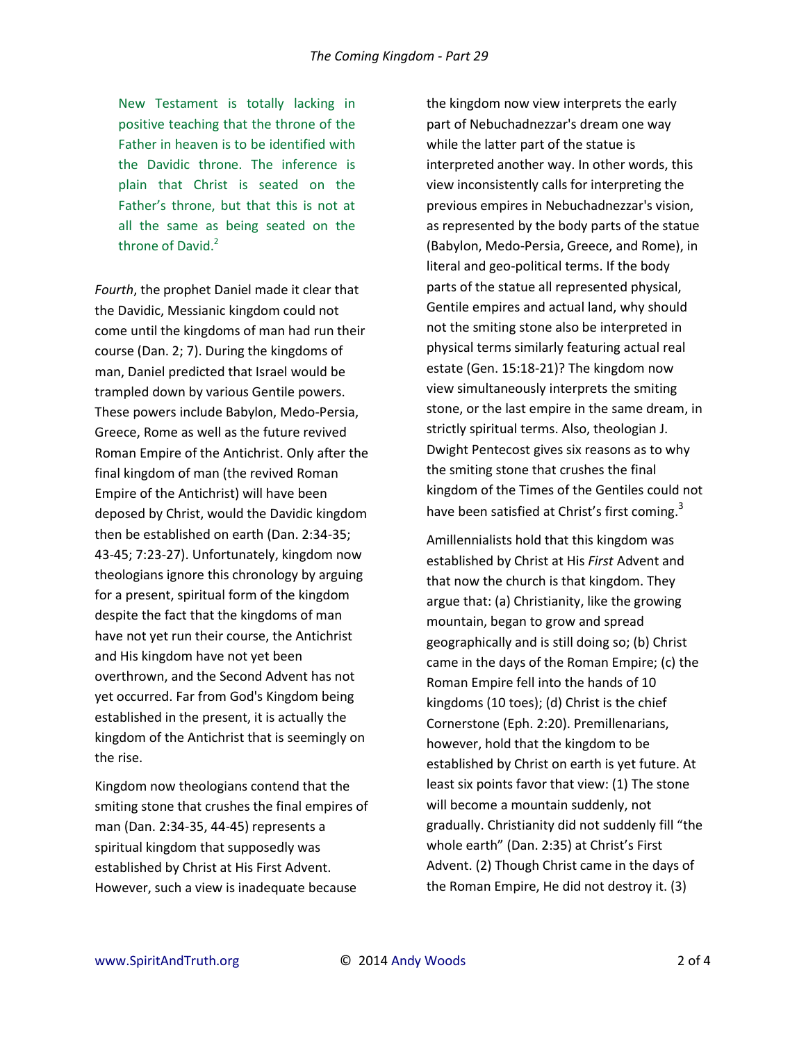New Testament is totally lacking in positive teaching that the throne of the Father in heaven is to be identified with the Davidic throne. The inference is plain that Christ is seated on the Father's throne, but that this is not at all the same as being seated on the throne of David. $2$ 

*Fourth*, the prophet Daniel made it clear that the Davidic, Messianic kingdom could not come until the kingdoms of man had run their course (Dan. 2; 7). During the kingdoms of man, Daniel predicted that Israel would be trampled down by various Gentile powers. These powers include Babylon, Medo-Persia, Greece, Rome as well as the future revived Roman Empire of the Antichrist. Only after the final kingdom of man (the revived Roman Empire of the Antichrist) will have been deposed by Christ, would the Davidic kingdom then be established on earth (Dan. 2:34-35; 43-45; 7:23-27). Unfortunately, kingdom now theologians ignore this chronology by arguing for a present, spiritual form of the kingdom despite the fact that the kingdoms of man have not yet run their course, the Antichrist and His kingdom have not yet been overthrown, and the Second Advent has not yet occurred. Far from God's Kingdom being established in the present, it is actually the kingdom of the Antichrist that is seemingly on the rise.

Kingdom now theologians contend that the smiting stone that crushes the final empires of man (Dan. 2:34-35, 44-45) represents a spiritual kingdom that supposedly was established by Christ at His First Advent. However, such a view is inadequate because

the kingdom now view interprets the early part of Nebuchadnezzar's dream one way while the latter part of the statue is interpreted another way. In other words, this view inconsistently calls for interpreting the previous empires in Nebuchadnezzar's vision, as represented by the body parts of the statue (Babylon, Medo-Persia, Greece, and Rome), in literal and geo-political terms. If the body parts of the statue all represented physical, Gentile empires and actual land, why should not the smiting stone also be interpreted in physical terms similarly featuring actual real estate (Gen. 15:18-21)? The kingdom now view simultaneously interprets the smiting stone, or the last empire in the same dream, in strictly spiritual terms. Also, theologian J. Dwight Pentecost gives six reasons as to why the smiting stone that crushes the final kingdom of the Times of the Gentiles could not have been satisfied at Christ's first coming.<sup>3</sup>

Amillennialists hold that this kingdom was established by Christ at His *First* Advent and that now the church is that kingdom. They argue that: (a) Christianity, like the growing mountain, began to grow and spread geographically and is still doing so; (b) Christ came in the days of the Roman Empire; (c) the Roman Empire fell into the hands of 10 kingdoms (10 toes); (d) Christ is the chief Cornerstone (Eph. 2:20). Premillenarians, however, hold that the kingdom to be established by Christ on earth is yet future. At least six points favor that view: (1) The stone will become a mountain suddenly, not gradually. Christianity did not suddenly fill "the whole earth" (Dan. 2:35) at Christ's First Advent. (2) Though Christ came in the days of the Roman Empire, He did not destroy it. (3)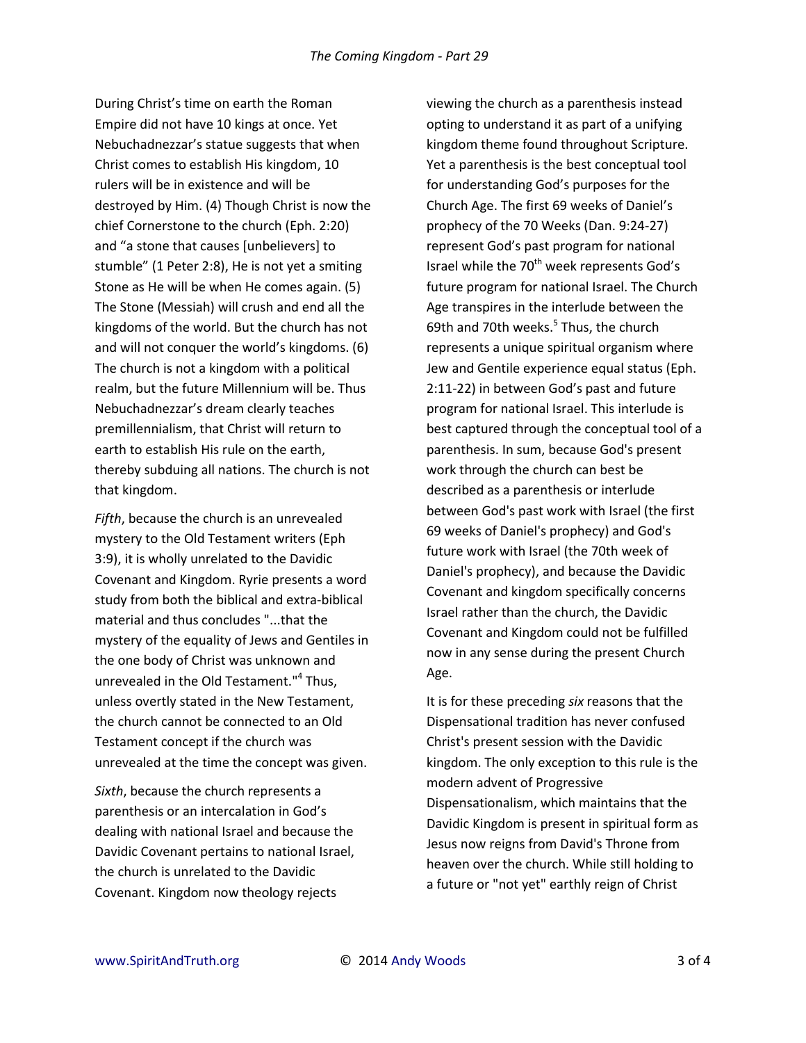During Christ's time on earth the Roman Empire did not have 10 kings at once. Yet Nebuchadnezzar's statue suggests that when Christ comes to establish His kingdom, 10 rulers will be in existence and will be destroyed by Him. (4) Though Christ is now the chief Cornerstone to the church (Eph. 2:20) and "a stone that causes [unbelievers] to stumble" (1 Peter 2:8), He is not yet a smiting Stone as He will be when He comes again. (5) The Stone (Messiah) will crush and end all the kingdoms of the world. But the church has not and will not conquer the world's kingdoms. (6) The church is not a kingdom with a political realm, but the future Millennium will be. Thus Nebuchadnezzar's dream clearly teaches premillennialism, that Christ will return to earth to establish His rule on the earth, thereby subduing all nations. The church is not that kingdom.

Fifth, because the church is an unrevealed mystery to the Old Testament writers (Eph 3:9), it is wholly unrelated to the Davidic Covenant and Kingdom. Ryrie presents a word study from both the biblical and extra-biblical material and thus concludes "...that the mystery of the equality of Jews and Gentiles in the one body of Christ was unknown and unrevealed in the Old Testament."<sup>4</sup> Thus, unless overtly stated in the New Testament, the church cannot be connected to an Old Testament concept if the church was unrevealed at the time the concept was given.

Sixth, because the church represents a parenthesis or an intercalation in God's dealing with national Israel and because the Davidic Covenant pertains to national Israel. the church is unrelated to the Davidic Covenant. Kingdom now theology rejects

viewing the church as a parenthesis instead opting to understand it as part of a unifying kingdom theme found throughout Scripture. Yet a parenthesis is the best conceptual tool for understanding God's purposes for the Church Age. The first 69 weeks of Daniel's prophecy of the 70 Weeks (Dan. 9:24-27) represent God's past program for national Israel while the 70<sup>th</sup> week represents God's future program for national Israel. The Church Age transpires in the interlude between the 69th and 70th weeks.<sup>5</sup> Thus, the church represents a unique spiritual organism where Jew and Gentile experience equal status (Eph. 2:11-22) in between God's past and future program for national Israel. This interlude is best captured through the conceptual tool of a parenthesis. In sum, because God's present work through the church can best be described as a parenthesis or interlude between God's past work with Israel (the first 69 weeks of Daniel's prophecy) and God's future work with Israel (the 70th week of Daniel's prophecy), and because the Davidic Covenant and kingdom specifically concerns Israel rather than the church, the Davidic Covenant and Kingdom could not be fulfilled now in any sense during the present Church Age.

It is for these preceding six reasons that the Dispensational tradition has never confused Christ's present session with the Davidic kingdom. The only exception to this rule is the modern advent of Progressive Dispensationalism, which maintains that the Davidic Kingdom is present in spiritual form as Jesus now reigns from David's Throne from heaven over the church. While still holding to a future or "not yet" earthly reign of Christ